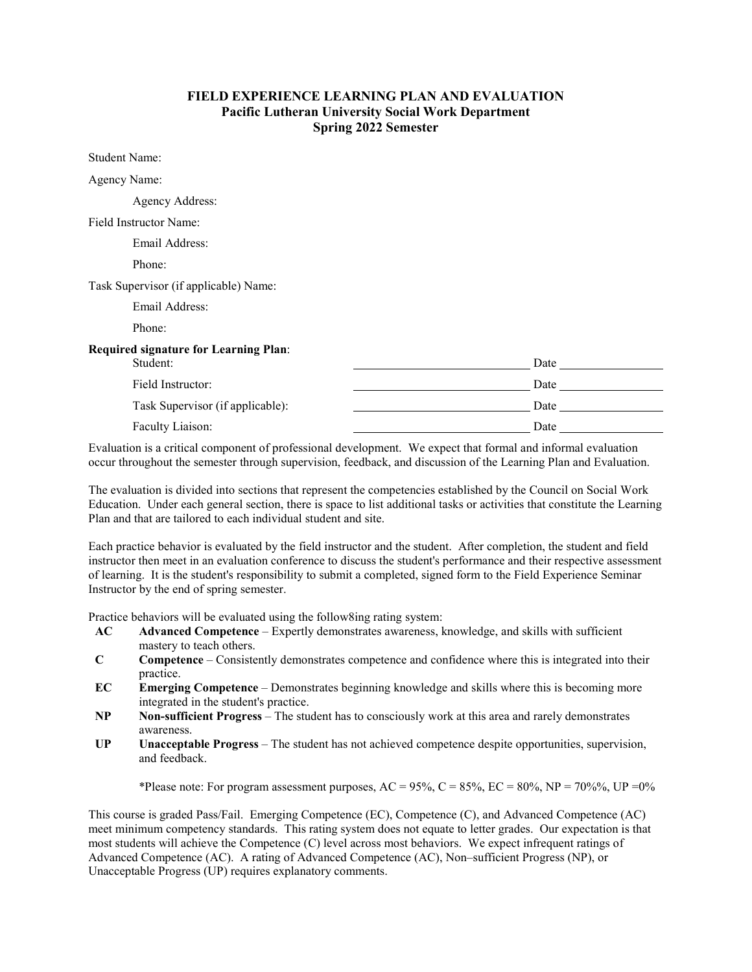## **FIELD EXPERIENCE LEARNING PLAN AND EVALUATION Pacific Lutheran University Social Work Department Spring 2022 Semester**

Student Name: Agency Name: Agency Address: Field Instructor Name: Email Address: Phone: Task Supervisor (if applicable) Name: Email Address: Phone: **Required signature for Learning Plan**: Student: Date and the Date of the Students of the Date of the Date of the Date of the Date of the Date of the Date of the Date of the Date of the Date of the Date of the Date of the Date of the Date of the Date of the Date Field Instructor: Date Task Supervisor (if applicable): Date Faculty Liaison: Date **Date 2018** 

Evaluation is a critical component of professional development. We expect that formal and informal evaluation occur throughout the semester through supervision, feedback, and discussion of the Learning Plan and Evaluation.

The evaluation is divided into sections that represent the competencies established by the Council on Social Work Education. Under each general section, there is space to list additional tasks or activities that constitute the Learning Plan and that are tailored to each individual student and site.

Each practice behavior is evaluated by the field instructor and the student. After completion, the student and field instructor then meet in an evaluation conference to discuss the student's performance and their respective assessment of learning. It is the student's responsibility to submit a completed, signed form to the Field Experience Seminar Instructor by the end of spring semester.

Practice behaviors will be evaluated using the follow8ing rating system:

- **AC Advanced Competence** Expertly demonstrates awareness, knowledge, and skills with sufficient mastery to teach others.
- **C Competence** Consistently demonstrates competence and confidence where this is integrated into their practice.
- **EC Emerging Competence** Demonstrates beginning knowledge and skills where this is becoming more integrated in the student's practice.
- **NP Non-sufficient Progress** The student has to consciously work at this area and rarely demonstrates awareness.
- **UP Unacceptable Progress** The student has not achieved competence despite opportunities, supervision, and feedback.

\*Please note: For program assessment purposes, AC = 95%, C = 85%, EC = 80%, NP = 70%%, UP = 0%

This course is graded Pass/Fail. Emerging Competence (EC), Competence (C), and Advanced Competence (AC) meet minimum competency standards. This rating system does not equate to letter grades. Our expectation is that most students will achieve the Competence (C) level across most behaviors. We expect infrequent ratings of Advanced Competence (AC). A rating of Advanced Competence (AC), Non–sufficient Progress (NP), or Unacceptable Progress (UP) requires explanatory comments.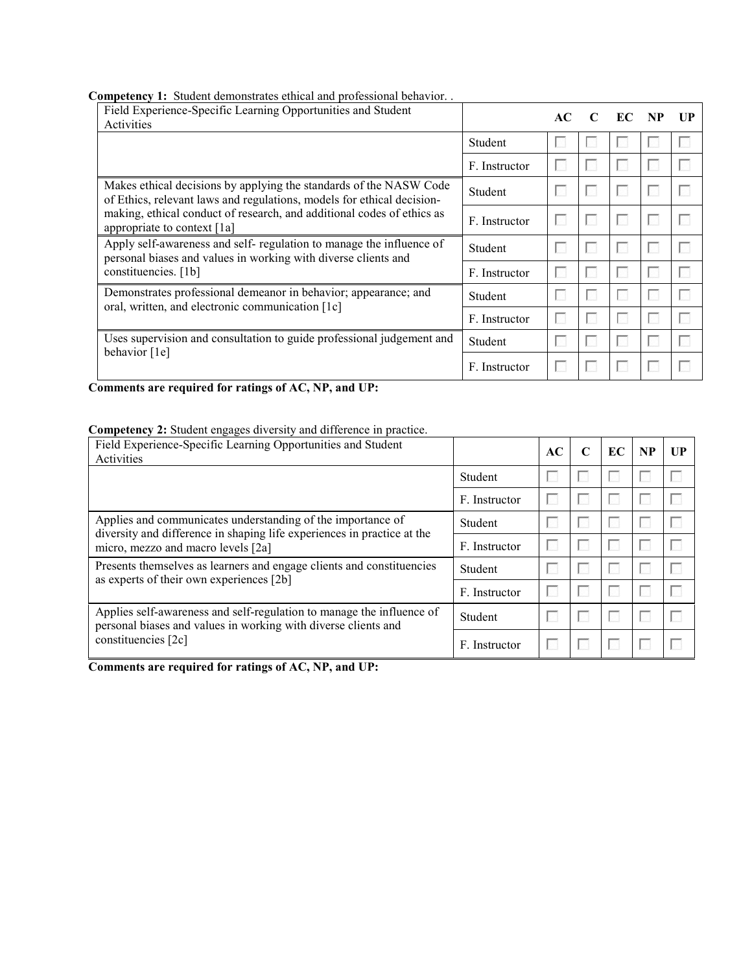#### **Competency 1:** Student demonstrates ethical and professional behavior. .

| Field Experience-Specific Learning Opportunities and Student<br>Activities                                                                   |               | AC. | EC | $\mathbf{I} \mathbf{I} \mathbf{P}$ |
|----------------------------------------------------------------------------------------------------------------------------------------------|---------------|-----|----|------------------------------------|
|                                                                                                                                              | Student       |     |    |                                    |
|                                                                                                                                              | F. Instructor |     |    |                                    |
| Makes ethical decisions by applying the standards of the NASW Code<br>of Ethics, relevant laws and regulations, models for ethical decision- | Student       |     |    |                                    |
| making, ethical conduct of research, and additional codes of ethics as<br>appropriate to context [1a]                                        | F. Instructor |     |    |                                    |
| Apply self-awareness and self- regulation to manage the influence of<br>personal biases and values in working with diverse clients and       | Student       |     |    |                                    |
| constituencies. [1b]                                                                                                                         | F. Instructor |     |    |                                    |
| Demonstrates professional demeanor in behavior; appearance; and                                                                              | Student       |     |    |                                    |
| oral, written, and electronic communication [1c]                                                                                             | F. Instructor |     |    |                                    |
| Uses supervision and consultation to guide professional judgement and                                                                        | Student       |     |    |                                    |
| behavior [1e]                                                                                                                                | F. Instructor |     |    |                                    |

**Comments are required for ratings of AC, NP, and UP:**

#### **Competency 2:** Student engages diversity and difference in practice.

| Field Experience-Specific Learning Opportunities and Student<br>Activities                                                              |               | AC | C | EC | <b>NP</b> | UP |
|-----------------------------------------------------------------------------------------------------------------------------------------|---------------|----|---|----|-----------|----|
|                                                                                                                                         | Student       |    |   |    |           |    |
|                                                                                                                                         | F. Instructor |    |   |    |           |    |
| Applies and communicates understanding of the importance of<br>diversity and difference in shaping life experiences in practice at the  | Student       |    |   |    |           |    |
| micro, mezzo and macro levels [2a]                                                                                                      | F. Instructor |    |   |    |           |    |
| Presents themselves as learners and engage clients and constituencies<br>as experts of their own experiences [2b]                       | Student       |    |   |    |           |    |
|                                                                                                                                         | F. Instructor |    |   |    |           |    |
| Applies self-awareness and self-regulation to manage the influence of<br>personal biases and values in working with diverse clients and | Student       |    |   |    |           |    |
| constituencies [2c]                                                                                                                     | F. Instructor |    |   |    |           |    |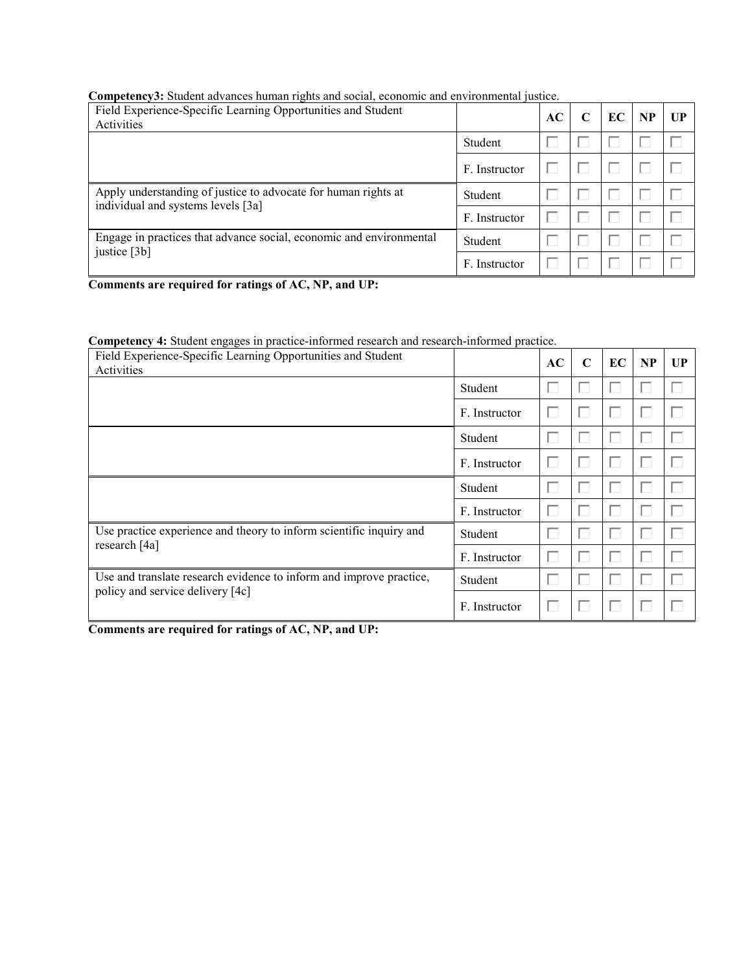| Field Experience-Specific Learning Opportunities and Student<br>Activities |               | AC | C | EC | <b>NP</b> | UP |
|----------------------------------------------------------------------------|---------------|----|---|----|-----------|----|
|                                                                            | Student       |    |   |    |           |    |
|                                                                            | F. Instructor |    |   |    |           |    |
| Apply understanding of justice to advocate for human rights at             | Student       |    |   |    |           |    |
| individual and systems levels [3a]                                         | F. Instructor |    |   |    |           |    |
| Engage in practices that advance social, economic and environmental        | Student       |    |   |    |           |    |
| justice [3b]                                                               | F. Instructor |    |   |    |           |    |

**Competency3:** Student advances human rights and social, economic and environmental justice.

**Comments are required for ratings of AC, NP, and UP:**

## **Competency 4:** Student engages in practice-informed research and research-informed practice.

| Field Experience-Specific Learning Opportunities and Student<br>Activities |               | AC | $\mathbf C$ | EC | <b>NP</b> | UP             |
|----------------------------------------------------------------------------|---------------|----|-------------|----|-----------|----------------|
|                                                                            | Student       |    |             |    |           | <b>A</b>       |
|                                                                            | F. Instructor |    |             |    |           |                |
|                                                                            | Student       |    |             |    |           | L.             |
|                                                                            | F. Instructor |    |             |    | L.        | I.             |
|                                                                            | Student       |    |             |    |           | L.             |
|                                                                            | F. Instructor |    |             |    |           | $\mathbb{R}^n$ |
| Use practice experience and theory to inform scientific inquiry and        | Student       |    |             |    |           |                |
| research [4a]                                                              | F. Instructor |    |             |    |           |                |
| Use and translate research evidence to inform and improve practice,        | Student       |    |             |    |           |                |
| policy and service delivery [4c]                                           | F. Instructor |    |             |    |           |                |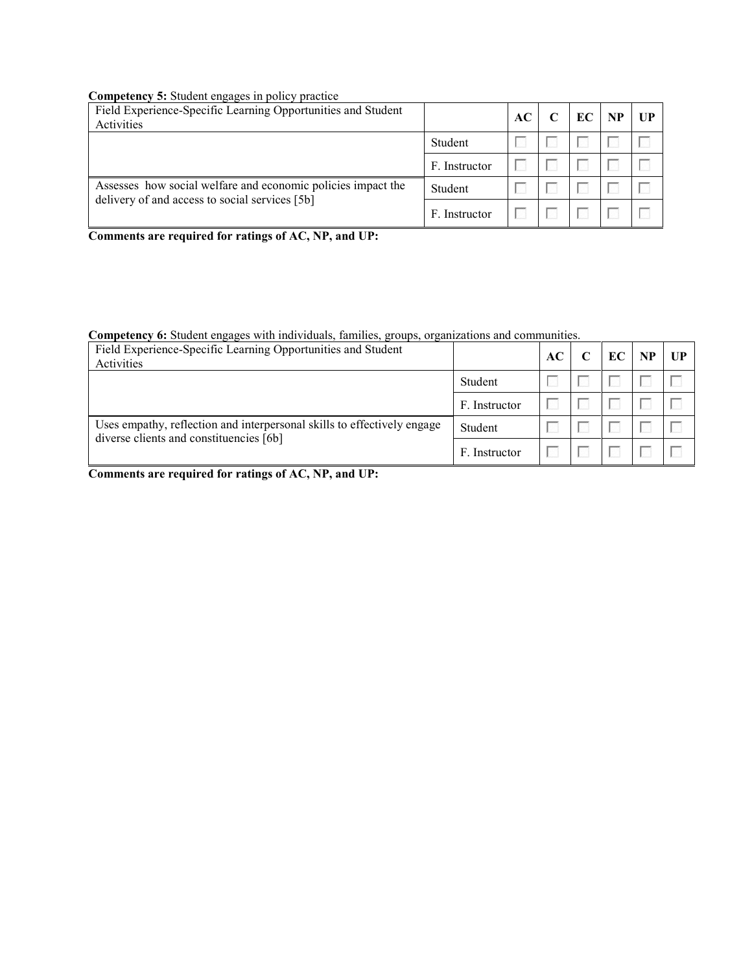## **Competency 5:** Student engages in policy practice

| Field Experience-Specific Learning Opportunities and Student<br>Activities                                     |               | AC | EC | <b>NP</b> | UP |
|----------------------------------------------------------------------------------------------------------------|---------------|----|----|-----------|----|
|                                                                                                                | Student       |    |    |           |    |
|                                                                                                                | F. Instructor |    |    |           |    |
| Assesses how social welfare and economic policies impact the<br>delivery of and access to social services [5b] | Student       |    |    |           |    |
|                                                                                                                | F. Instructor |    |    |           |    |

**Comments are required for ratings of AC, NP, and UP:**

## **Competency 6:** Student engages with individuals, families, groups, organizations and communities.

| Field Experience-Specific Learning Opportunities and Student<br>Activities                                         |               | AC | EC | <b>NP</b> | UP |
|--------------------------------------------------------------------------------------------------------------------|---------------|----|----|-----------|----|
|                                                                                                                    | Student       |    |    |           |    |
|                                                                                                                    | F. Instructor |    |    |           |    |
| Uses empathy, reflection and interpersonal skills to effectively engage<br>diverse clients and constituencies [6b] | Student       |    |    |           |    |
|                                                                                                                    | F. Instructor |    |    |           |    |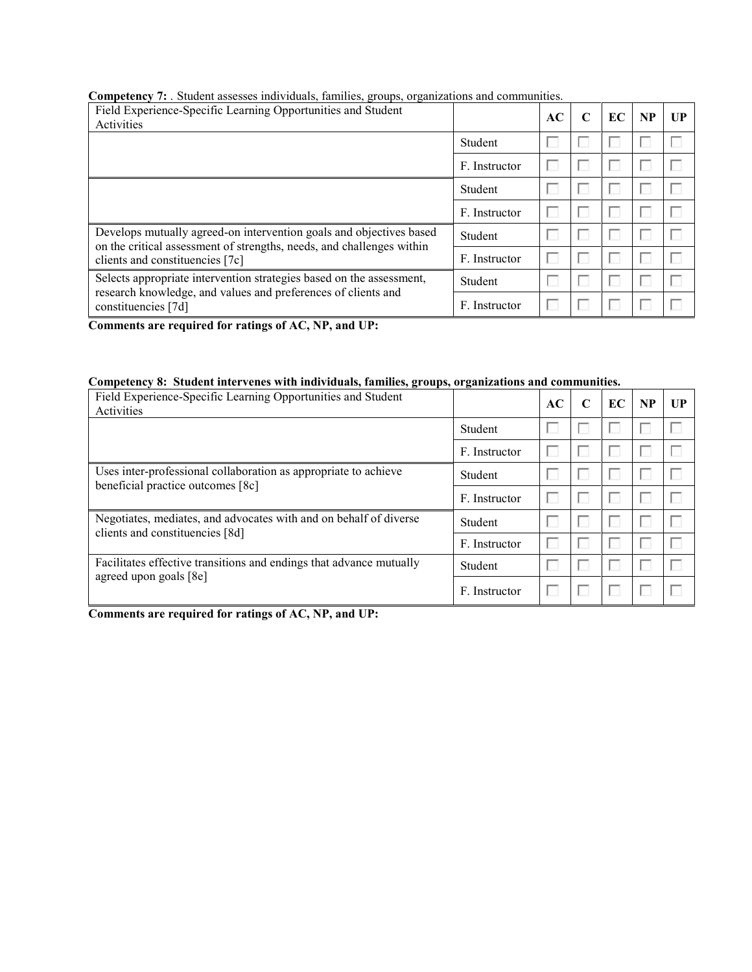# **Competency 7:** . Student assesses individuals, families, groups, organizations and communities.

| Field Experience-Specific Learning Opportunities and Student<br>Activities                                                                   |               | AC | C | EC | <b>NP</b> | UP |
|----------------------------------------------------------------------------------------------------------------------------------------------|---------------|----|---|----|-----------|----|
|                                                                                                                                              | Student       |    |   |    |           |    |
|                                                                                                                                              | F. Instructor |    |   |    |           |    |
|                                                                                                                                              | Student       |    |   |    |           |    |
|                                                                                                                                              | F. Instructor |    |   |    |           |    |
| Develops mutually agreed-on intervention goals and objectives based<br>on the critical assessment of strengths, needs, and challenges within | Student       |    |   |    |           |    |
| clients and constituencies [7c]                                                                                                              | F. Instructor |    |   |    |           |    |
| Selects appropriate intervention strategies based on the assessment,<br>research knowledge, and values and preferences of clients and        | Student       |    |   |    |           |    |
| constituencies [7d]                                                                                                                          | F. Instructor |    |   |    |           |    |

**Comments are required for ratings of AC, NP, and UP:**

# **Competency 8: Student intervenes with individuals, families, groups, organizations and communities.**

| Field Experience-Specific Learning Opportunities and Student<br>Activities |               | AC | C | EC | <b>NP</b> | UP |
|----------------------------------------------------------------------------|---------------|----|---|----|-----------|----|
|                                                                            | Student       |    |   |    |           |    |
|                                                                            | F. Instructor |    |   |    |           |    |
| Uses inter-professional collaboration as appropriate to achieve            | Student       |    |   |    |           |    |
| beneficial practice outcomes [8c]                                          | F. Instructor |    |   |    |           |    |
| Negotiates, mediates, and advocates with and on behalf of diverse          | Student       |    |   |    |           |    |
| clients and constituencies [8d]                                            | F. Instructor |    |   |    |           |    |
| Facilitates effective transitions and endings that advance mutually        | Student       |    |   |    |           | l. |
| agreed upon goals [8e]                                                     | F. Instructor |    |   |    |           |    |